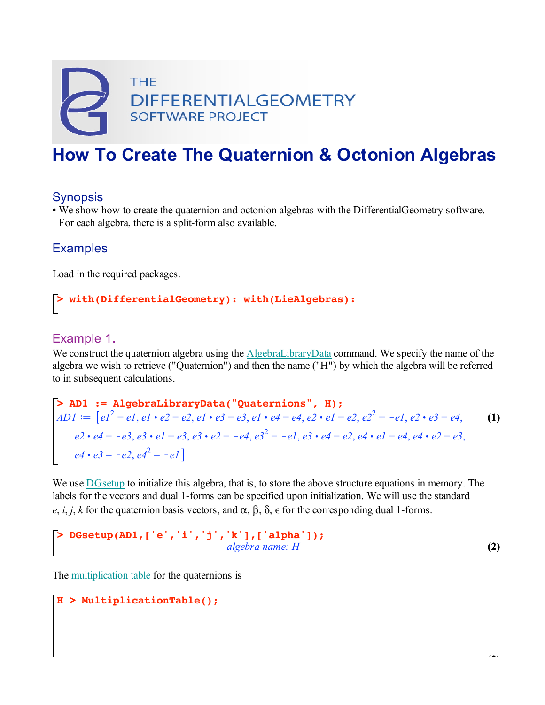

# **How To Create The Quaternion & Octonion Algebras**

### **Synopsis**

• We show how to create the quaternion and octonion algebras with the DifferentialGeometry software. For each algebra, there is a split-form also available.

### **Examples**

Load in the required packages.

## **> with(DifferentialGeometry): with(LieAlgebras):**

### Example 1.

We construct the quaternion algebra using the AlgebraLibraryData command. We specify the name of the algebra we wish to retrieve ("Quaternion") and then the name ("H") by which the algebra will be referred to in subsequent calculations.

**AD1** := AlgebraLibraryData("Quaternions", H);  
\n
$$
AD1 := [e1^2 = el, el \cdot e2 = e2, el \cdot e3 = e3, el \cdot e4 = e4, e2 \cdot el = e2, e2^2 = -el, e2 \cdot e3 = e4,
$$
\n
$$
e2 \cdot e4 = -e3, e3 \cdot el = e3, e3 \cdot e2 = -e4, e3^2 = -el, e3 \cdot e4 = e2, e4 \cdot el = e4, e4 \cdot e2 = e3,
$$
\n
$$
e4 \cdot e3 = -e2, e4^2 = -el
$$

We use DGsetup to initialize this algebra, that is, to store the above structure equations in memory. The labels for the vectors and dual 1-forms can be specified upon initialization. We will use the standard *e*, *i*, *j*, *k* for the quaternion basis vectors, and  $\alpha$ ,  $\beta$ ,  $\delta$ ,  $\epsilon$  for the corresponding dual 1-forms.

$$
\begin{bmatrix}\n> DGsetup(AD1, ['e', 'i', 'j', 'k'], ['alpha']);\n> addgebra name: H\n\end{bmatrix}
$$
\n(2)

The multiplication table for the quaternions is

### **H > MultiplicationTable();**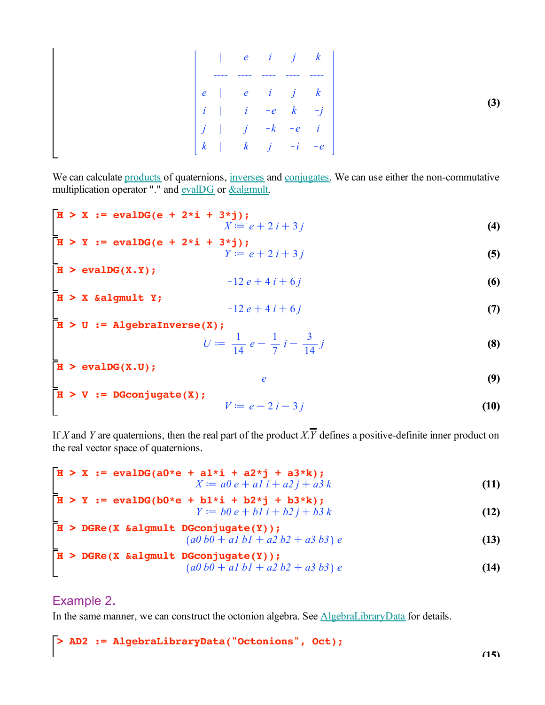|  |  |  | $\begin{vmatrix} e & i & j & k \end{vmatrix}$ |
|--|--|--|-----------------------------------------------|
|  |  |  |                                               |
|  |  |  |                                               |
|  |  |  |                                               |
|  |  |  |                                               |

We can calculate products of quaternions, inverses and conjugates. We can use either the non-commutative multiplication operator "." and evalDG or &algmult.

$$
\mathbf{H} > \mathbf{X} := \mathbf{evalDG}(\mathbf{e} + 2 \cdot \mathbf{i} + 3 \cdot \mathbf{j});
$$
  

$$
X := e + 2i + 3j
$$
 (4)

$$
\begin{array}{l}\n\mathbf{H} > \mathbf{Y} := \mathbf{evalDG}(\mathbf{e} + 2 \cdot \mathbf{i} + 3 \cdot \mathbf{j}); \\
Y := e + 2i + 3j\n\end{array} \tag{5}
$$

**(6)**  $H > evalDG(X.Y);$  $-12 e + 4 i + 6 j$ 

**H > (7) X &algmult Y;**  $-12 e + 4 i + 6 j$ 

$$
\mathbf{H} > \mathbf{U} := \mathbf{AlgebraInverse(X)}; \quad U := \frac{1}{14} e - \frac{1}{7} i - \frac{3}{14} j \quad (8)
$$
\n
$$
\mathbf{H} > \mathbf{evalDG(X,U)}; \quad e \quad (9)
$$

$$
\mathbf{H} > \mathbf{V} := \mathbf{D} \mathbf{G} \mathbf{conjugate}(\mathbf{X});
$$
  

$$
V := e - 2i - 3j
$$
 (10)

If *X* and *Y* are quaternions, then the real part of the product *X*.  $\overline{Y}$  defines a positive-definite inner product on the real vector space of quaternions.

$$
\mathbf{H} > \mathbf{X} := \mathbf{evalDG(a0*e + a1:i + a2*j + a3*k)};
$$
  

$$
X := a0 e + a1 i + a2 j + a3 k
$$
 (11)

$$
\begin{array}{lll} \n\mathbf{H} > \mathbf{Y} & \text{:= } \mathbf{evalDG}(\mathbf{b0}^* \mathbf{e} + \mathbf{b1}^* \mathbf{i} + \mathbf{b2}^* \mathbf{j} + \mathbf{b3}^* \mathbf{k});\\ \nY := b0 \, e + b1 \, i + b2 \, j + b3 \, k \n\end{array} \tag{12}
$$

$$
\begin{array}{ll}\n\textbf{H} > \textbf{DGRe(X} \text{ & \text{a1gmult} \text{ } \textbf{DGconjugate(Y)}); \\
&\quad (a0 \text{ } b0 + a1 \text{ } b1 + a2 \text{ } b2 + a3 \text{ } b3) \text{ } e\n\end{array}
$$
\n(13)

$$
\begin{array}{ll}\n\overline{\mathbf{H}} > \text{ DGRe}(\mathbf{X} \text{ & algorithm } \mathbf{D} \text{ & algorithm } \mathbf{D} \text{ & algorithm } \mathbf{D} \text{ & output } \mathbf{D} \text{ & output } \mathbf{D} \text{ & output } \mathbf{D} \text{ & output } \mathbf{D} \text{ & output } \mathbf{D} \text{ & output } \mathbf{D} \text{ & output } \mathbf{D} \text{ & output } \mathbf{D} \text{ & output } \mathbf{D} \text{ & output } \mathbf{D} \text{ & output } \mathbf{D} \text{ & output } \mathbf{D} \text{ & output } \mathbf{D} \text{ & output } \mathbf{D} \text{ & output } \mathbf{D} \text{ & output } \mathbf{D} \text{ & output } \mathbf{D} \text{ & output } \mathbf{D} \text{ & output } \mathbf{D} \text{ & output } \mathbf{D} \text{ & output } \mathbf{D} \text{ & output } \mathbf{D} \text{ & output } \mathbf{D} \text{ & output } \mathbf{D} \text{ & output } \mathbf{D} \text{ & output } \mathbf{D} \text{ & output } \mathbf{D} \text{ & output } \mathbf{D} \text{ & output } \mathbf{D} \text{ & output } \mathbf{D} \text{ & output } \mathbf{D} \text{ & output } \mathbf{D} \text{ & output } \mathbf{D} \text{ & output } \mathbf{D} \text{ & output } \mathbf{D} \text{ & output } \mathbf{D} \text{ & output } \mathbf{D} \text{ & output } \mathbf{D} \text{ & output } \mathbf{D} \text{ & output } \mathbf{D} \text{ & output } \mathbf{D} \text{ & output } \mathbf{D} \text{ & output } \mathbf{D} \text{ & output } \mathbf{D} \text{ & output } \mathbf{D} \text{ & output } \mathbf{D} \text{ & output } \mathbf{D} \text{ & output } \mathbf{D} \text{ & output } \mathbf{D
$$

### Example 2.

In the same manner, we can construct the octonion algebra. See AlgebraLibraryData for details.

#### **> AD2 := AlgebraLibraryData("Octonions", Oct);**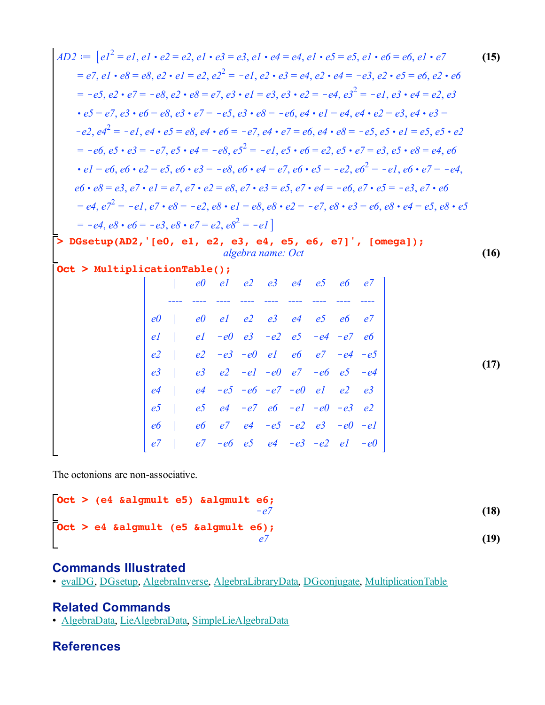| $AD2 :=  e1^2 = e1, e1 \cdot e2 = e2, e1 \cdot e3 = e3, e1 \cdot e4 = e4, e1 \cdot e5 = e5, e1 \cdot e6 = e6, e1 \cdot e7$  |                |                |    |                |                                  |                |                         |                |                |                                                                                                                                              | (15) |
|-----------------------------------------------------------------------------------------------------------------------------|----------------|----------------|----|----------------|----------------------------------|----------------|-------------------------|----------------|----------------|----------------------------------------------------------------------------------------------------------------------------------------------|------|
|                                                                                                                             |                |                |    |                |                                  |                |                         |                |                | $= e7, e1 \cdot e8 = e8, e2 \cdot e1 = e2, e2^2 = -e1, e2 \cdot e3 = e4, e2 \cdot e4 = -e3, e2 \cdot e5 = e6, e2 \cdot e6$                   |      |
|                                                                                                                             |                |                |    |                |                                  |                |                         |                |                | $= -e5, e2 \cdot e7 = -e8, e2 \cdot e8 = e7, e3 \cdot e1 = e3, e3 \cdot e2 = -e4, e3^2 = -e1, e3 \cdot e4 = e2, e3$                          |      |
| $\cdot e5 = e7, e3 \cdot e6 = e8, e3 \cdot e7 = -e5, e3 \cdot e8 = -e6, e4 \cdot e1 = e4, e4 \cdot e2 = e3, e4 \cdot e3 =$  |                |                |    |                |                                  |                |                         |                |                |                                                                                                                                              |      |
|                                                                                                                             |                |                |    |                |                                  |                |                         |                |                | $-e^2, e^2 = -e^2, e^4 \cdot e^5 = e^8, e^4 \cdot e^6 = -e^7, e^4 \cdot e^7 = e^6, e^4 \cdot e^8 = -e^5, e^5 \cdot e^1 = e^5, e^5 \cdot e^2$ |      |
|                                                                                                                             |                |                |    |                |                                  |                |                         |                |                | $= -e6, e5 \cdot e3 = -e7, e5 \cdot e4 = -e8, e5^{2} = -e1, e5 \cdot e6 = e2, e5 \cdot e7 = e3, e5 \cdot e8 = e4, e6$                        |      |
|                                                                                                                             |                |                |    |                |                                  |                |                         |                |                | • $el = e6, e6 \cdot e2 = e5, e6 \cdot e3 = -e8, e6 \cdot e4 = e7, e6 \cdot e5 = -e2, e6^2 = -e1, e6 \cdot e7 = -e4$                         |      |
| $e6 \cdot e8 = e3, e7 \cdot e1 = e7, e7 \cdot e2 = e8, e7 \cdot e3 = e5, e7 \cdot e4 = -e6, e7 \cdot e5 = -e3, e7 \cdot e6$ |                |                |    |                |                                  |                |                         |                |                |                                                                                                                                              |      |
|                                                                                                                             |                |                |    |                |                                  |                |                         |                |                | $= e4, e7^2 = -e1, e7 \cdot e8 = -e2, e8 \cdot e1 = e8, e8 \cdot e2 = -e7, e8 \cdot e3 = e6, e8 \cdot e4 = e5, e8 \cdot e5$                  |      |
| $= -e4, e8 \cdot e6 = -e3, e8 \cdot e7 = e2, e8^{2} = -e1$                                                                  |                |                |    |                |                                  |                |                         |                |                |                                                                                                                                              |      |
| > DGsetup(AD2, '[e0, e1, e2, e3, e4, e5, e6, e7]', [omega]);                                                                |                |                |    |                |                                  |                |                         |                |                |                                                                                                                                              |      |
| Oct > MultiplicationTable();                                                                                                |                |                |    |                | algebra name: Oct                |                |                         |                |                |                                                                                                                                              | (16) |
|                                                                                                                             |                | e0             |    |                | $el$ $e2$ $e3$ $e4$ $e5$         |                |                         | e6             | e7             |                                                                                                                                              |      |
|                                                                                                                             |                |                |    |                |                                  |                |                         |                |                |                                                                                                                                              |      |
|                                                                                                                             | e <sub>0</sub> | e0             |    |                | $el$ $e2$ $e3$                   | e <sub>4</sub> | e <sub>5</sub>          | e6             | e <sup>7</sup> |                                                                                                                                              |      |
|                                                                                                                             | el             | el             |    | $-e0$ $e3$     |                                  | $-e2$ $e5$     |                         | $-e4 - e7$     | e6             |                                                                                                                                              |      |
|                                                                                                                             | e <sub>2</sub> | e <sub>2</sub> |    |                | $-e3$ $-e0$ $e1$                 | e6             |                         | $e7 - e4 - e5$ |                |                                                                                                                                              | (17) |
|                                                                                                                             | e <sub>3</sub> | e <sub>3</sub> |    |                | $e2 - e1 - e0$ $e7 - e6$ $e5$    |                |                         |                | $-e4$          |                                                                                                                                              |      |
|                                                                                                                             | e <sub>4</sub> | e <sub>4</sub> |    |                | $-e5 - e6 - e7 - e0$ el          |                |                         | e <sub>2</sub> | e <sub>3</sub> |                                                                                                                                              |      |
|                                                                                                                             | e <sub>5</sub> | e <sub>2</sub> |    |                | $e4 - e7 e6 - e1 - e0 - e3 e2$   |                |                         |                |                |                                                                                                                                              |      |
|                                                                                                                             | e6             | e <sub>6</sub> | e7 | e <sub>4</sub> |                                  |                | $-e5 - e2 e3 - e0 - e1$ |                |                |                                                                                                                                              |      |
|                                                                                                                             |                | e7             |    |                | $-e6$ e5 e4 $-e3$ $-e2$ e1 $-e0$ |                |                         |                |                |                                                                                                                                              |      |

The octonions are non-associative.

```
Oct > 
e4 &algmult (e5 &algmult e6);
                                                                        (19)
Oct > 
(e4 &algmult e5) &algmult e6;
                                                                        (18)
                                 -e7e7
```
### **Commands Illustrated**

• evalDG, DGsetup, AlgebraInverse, AlgebraLibraryData, DGconjugate, MultiplicationTable

## **Related Commands**

• AlgebraData, LieAlgebraData, SimpleLieAlgebraData

## **References**